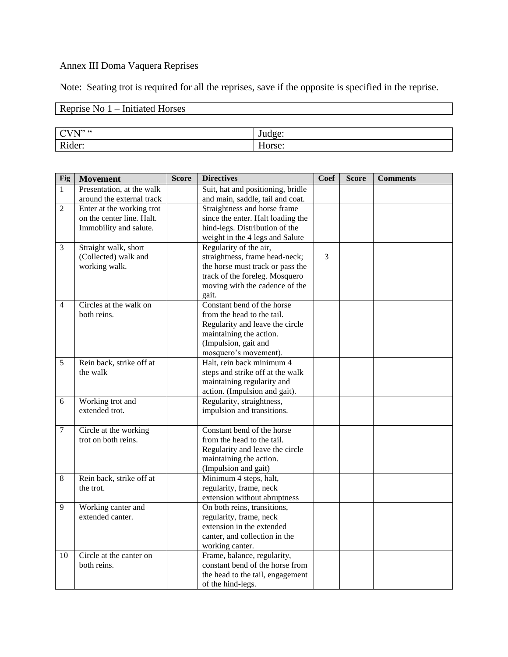#### Annex III Doma Vaquera Reprises

Note: Seating trot is required for all the reprises, save if the opposite is specified in the reprise.

# Reprise No 1 – Initiated Horses

| T <sub>22</sub> CC<br>--<br>n | -<br>ັ.<br>$\sim$       |
|-------------------------------|-------------------------|
| D.<br>$\sim$ 44<br>-          | $ -$<br>-<br>11 J<br>-- |

| Fig            | <b>Movement</b>           | <b>Score</b> | <b>Directives</b>                 | Coef | <b>Score</b> | <b>Comments</b> |
|----------------|---------------------------|--------------|-----------------------------------|------|--------------|-----------------|
| $\mathbf{1}$   | Presentation, at the walk |              | Suit, hat and positioning, bridle |      |              |                 |
|                | around the external track |              | and main, saddle, tail and coat.  |      |              |                 |
| 2              | Enter at the working trot |              | Straightness and horse frame      |      |              |                 |
|                | on the center line. Halt. |              | since the enter. Halt loading the |      |              |                 |
|                | Immobility and salute.    |              | hind-legs. Distribution of the    |      |              |                 |
|                |                           |              | weight in the 4 legs and Salute   |      |              |                 |
| $\overline{3}$ | Straight walk, short      |              | Regularity of the air,            |      |              |                 |
|                | (Collected) walk and      |              | straightness, frame head-neck;    | 3    |              |                 |
|                | working walk.             |              | the horse must track or pass the  |      |              |                 |
|                |                           |              | track of the foreleg. Mosquero    |      |              |                 |
|                |                           |              | moving with the cadence of the    |      |              |                 |
|                |                           |              | gait.                             |      |              |                 |
| $\overline{4}$ | Circles at the walk on    |              | Constant bend of the horse        |      |              |                 |
|                | both reins.               |              | from the head to the tail.        |      |              |                 |
|                |                           |              | Regularity and leave the circle   |      |              |                 |
|                |                           |              | maintaining the action.           |      |              |                 |
|                |                           |              | (Impulsion, gait and              |      |              |                 |
|                |                           |              | mosquero's movement).             |      |              |                 |
| 5              | Rein back, strike off at  |              | Halt, rein back minimum 4         |      |              |                 |
|                | the walk                  |              | steps and strike off at the walk  |      |              |                 |
|                |                           |              | maintaining regularity and        |      |              |                 |
|                |                           |              | action. (Impulsion and gait).     |      |              |                 |
| 6              | Working trot and          |              | Regularity, straightness,         |      |              |                 |
|                | extended trot.            |              | impulsion and transitions.        |      |              |                 |
|                |                           |              |                                   |      |              |                 |
| $\tau$         | Circle at the working     |              | Constant bend of the horse        |      |              |                 |
|                | trot on both reins.       |              | from the head to the tail.        |      |              |                 |
|                |                           |              | Regularity and leave the circle   |      |              |                 |
|                |                           |              | maintaining the action.           |      |              |                 |
|                |                           |              | (Impulsion and gait)              |      |              |                 |
| 8              | Rein back, strike off at  |              | Minimum 4 steps, halt,            |      |              |                 |
|                | the trot.                 |              | regularity, frame, neck           |      |              |                 |
|                |                           |              | extension without abruptness      |      |              |                 |
| 9              | Working canter and        |              | On both reins, transitions,       |      |              |                 |
|                | extended canter.          |              | regularity, frame, neck           |      |              |                 |
|                |                           |              | extension in the extended         |      |              |                 |
|                |                           |              | canter, and collection in the     |      |              |                 |
|                |                           |              | working canter.                   |      |              |                 |
| 10             | Circle at the canter on   |              | Frame, balance, regularity,       |      |              |                 |
|                | both reins.               |              | constant bend of the horse from   |      |              |                 |
|                |                           |              | the head to the tail, engagement  |      |              |                 |
|                |                           |              | of the hind-legs.                 |      |              |                 |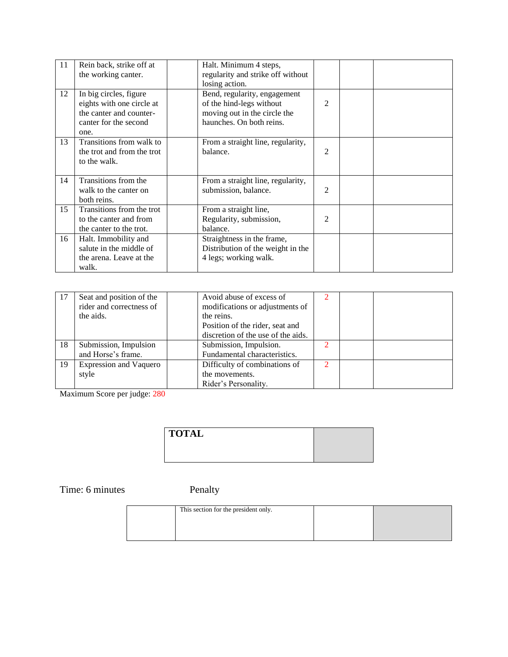| 11 | Rein back, strike off at<br>the working canter.                                                                 | Halt. Minimum 4 steps,<br>regularity and strike off without<br>losing action.                                        |                |  |
|----|-----------------------------------------------------------------------------------------------------------------|----------------------------------------------------------------------------------------------------------------------|----------------|--|
| 12 | In big circles, figure<br>eights with one circle at<br>the canter and counter-<br>canter for the second<br>one. | Bend, regularity, engagement<br>of the hind-legs without<br>moving out in the circle the<br>haunches. On both reins. | 2              |  |
| 13 | Transitions from walk to<br>the trot and from the trot<br>to the walk.                                          | From a straight line, regularity,<br>balance.                                                                        | $\overline{2}$ |  |
| 14 | Transitions from the<br>walk to the canter on<br>both reins.                                                    | From a straight line, regularity,<br>submission, balance.                                                            | 2              |  |
| 15 | Transitions from the trot<br>to the canter and from<br>the canter to the trot.                                  | From a straight line,<br>Regularity, submission,<br>balance.                                                         | 2              |  |
| 16 | Halt. Immobility and<br>salute in the middle of<br>the arena. Leave at the<br>walk.                             | Straightness in the frame,<br>Distribution of the weight in the<br>4 legs; working walk.                             |                |  |

| -17 | Seat and position of the      | Avoid abuse of excess of           |   |  |
|-----|-------------------------------|------------------------------------|---|--|
|     | rider and correctness of      | modifications or adjustments of    |   |  |
|     | the aids.                     | the reins.                         |   |  |
|     |                               | Position of the rider, seat and    |   |  |
|     |                               | discretion of the use of the aids. |   |  |
| 18  | Submission, Impulsion         | Submission, Impulsion.             |   |  |
|     | and Horse's frame.            | Fundamental characteristics.       |   |  |
| 19  | <b>Expression and Vaquero</b> | Difficulty of combinations of      | ∍ |  |
|     | style                         | the movements.                     |   |  |
|     |                               | Rider's Personality.               |   |  |

Maximum Score per judge: 280

| <b>TOTAL</b> |  |
|--------------|--|
|              |  |
|              |  |

Time: 6 minutes Penalty

| This section for the president only. |  |
|--------------------------------------|--|
|                                      |  |
|                                      |  |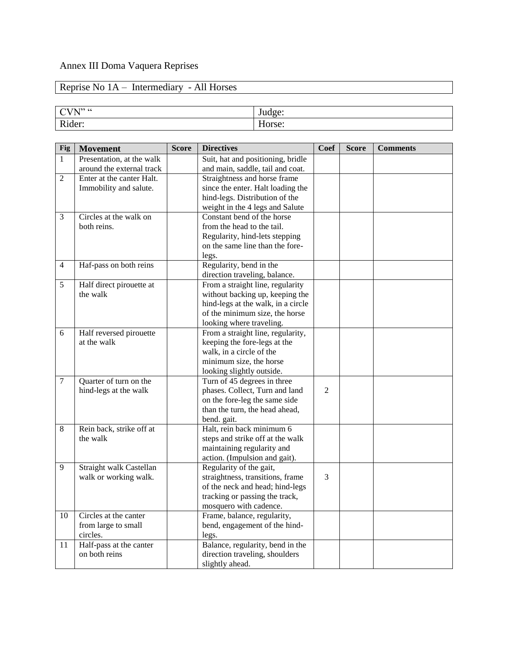### Annex III Doma Vaquera Reprises

# Reprise No 1A – Intermediary - All Horses

| . T <sub>22</sub> CC<br>. .<br>- 1<br>〜<br>$\overline{\phantom{a}}$ | $- -$ |
|---------------------------------------------------------------------|-------|
| $\mathbf{D}$ :<br>$\sim$ r                                          | $ -$  |

| <b>Fig</b>     | <b>Movement</b>           | <b>Score</b> | <b>Directives</b>                  | Coef           | Score | <b>Comments</b> |
|----------------|---------------------------|--------------|------------------------------------|----------------|-------|-----------------|
| $\mathbf{1}$   | Presentation, at the walk |              | Suit, hat and positioning, bridle  |                |       |                 |
|                | around the external track |              | and main, saddle, tail and coat.   |                |       |                 |
| $\overline{2}$ | Enter at the canter Halt. |              | Straightness and horse frame       |                |       |                 |
|                | Immobility and salute.    |              | since the enter. Halt loading the  |                |       |                 |
|                |                           |              | hind-legs. Distribution of the     |                |       |                 |
|                |                           |              | weight in the 4 legs and Salute    |                |       |                 |
| 3              | Circles at the walk on    |              | Constant bend of the horse         |                |       |                 |
|                | both reins.               |              | from the head to the tail.         |                |       |                 |
|                |                           |              | Regularity, hind-lets stepping     |                |       |                 |
|                |                           |              | on the same line than the fore-    |                |       |                 |
|                |                           |              | legs.                              |                |       |                 |
| $\overline{4}$ | Haf-pass on both reins    |              | Regularity, bend in the            |                |       |                 |
|                |                           |              | direction traveling, balance.      |                |       |                 |
| 5              | Half direct pirouette at  |              | From a straight line, regularity   |                |       |                 |
|                | the walk                  |              | without backing up, keeping the    |                |       |                 |
|                |                           |              | hind-legs at the walk, in a circle |                |       |                 |
|                |                           |              | of the minimum size, the horse     |                |       |                 |
|                |                           |              | looking where traveling.           |                |       |                 |
| 6              | Half reversed pirouette   |              | From a straight line, regularity,  |                |       |                 |
|                | at the walk               |              | keeping the fore-legs at the       |                |       |                 |
|                |                           |              | walk, in a circle of the           |                |       |                 |
|                |                           |              | minimum size, the horse            |                |       |                 |
|                |                           |              | looking slightly outside.          |                |       |                 |
| $\overline{7}$ | Quarter of turn on the    |              | Turn of 45 degrees in three        |                |       |                 |
|                | hind-legs at the walk     |              | phases. Collect, Turn and land     | $\overline{2}$ |       |                 |
|                |                           |              | on the fore-leg the same side      |                |       |                 |
|                |                           |              | than the turn, the head ahead,     |                |       |                 |
|                |                           |              | bend. gait.                        |                |       |                 |
| 8              | Rein back, strike off at  |              | Halt, rein back minimum 6          |                |       |                 |
|                | the walk                  |              | steps and strike off at the walk   |                |       |                 |
|                |                           |              | maintaining regularity and         |                |       |                 |
|                |                           |              | action. (Impulsion and gait).      |                |       |                 |
| 9              | Straight walk Castellan   |              | Regularity of the gait,            |                |       |                 |
|                | walk or working walk.     |              | straightness, transitions, frame   | 3              |       |                 |
|                |                           |              | of the neck and head; hind-legs    |                |       |                 |
|                |                           |              | tracking or passing the track,     |                |       |                 |
|                |                           |              | mosquero with cadence.             |                |       |                 |
| 10             | Circles at the canter     |              | Frame, balance, regularity,        |                |       |                 |
|                | from large to small       |              | bend, engagement of the hind-      |                |       |                 |
|                | circles.                  |              | legs.                              |                |       |                 |
| 11             | Half-pass at the canter   |              | Balance, regularity, bend in the   |                |       |                 |
|                | on both reins             |              | direction traveling, shoulders     |                |       |                 |
|                |                           |              | slightly ahead.                    |                |       |                 |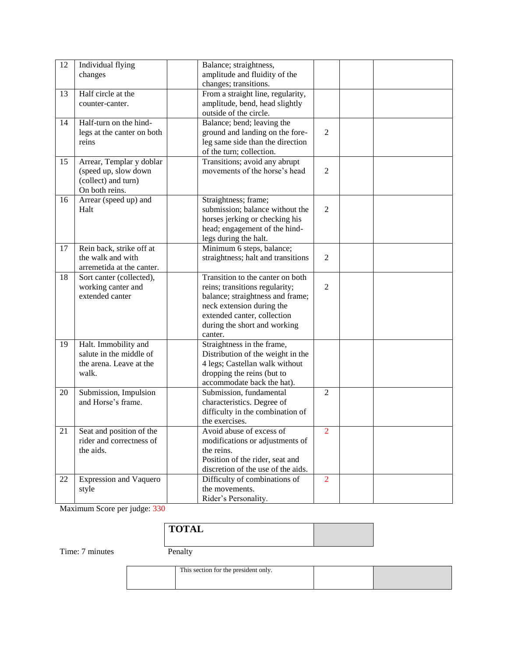| 12 | Individual flying             | Balance; straightness,             |                |  |
|----|-------------------------------|------------------------------------|----------------|--|
|    | changes                       | amplitude and fluidity of the      |                |  |
|    |                               | changes; transitions.              |                |  |
| 13 | Half circle at the            | From a straight line, regularity,  |                |  |
|    | counter-canter.               | amplitude, bend, head slightly     |                |  |
|    |                               | outside of the circle.             |                |  |
| 14 | Half-turn on the hind-        | Balance; bend; leaving the         |                |  |
|    | legs at the canter on both    | ground and landing on the fore-    | $\overline{2}$ |  |
|    | reins                         | leg same side than the direction   |                |  |
|    |                               | of the turn; collection.           |                |  |
| 15 | Arrear, Templar y doblar      | Transitions; avoid any abrupt      |                |  |
|    | (speed up, slow down          | movements of the horse's head      | $\overline{2}$ |  |
|    | (collect) and turn)           |                                    |                |  |
|    | On both reins.                |                                    |                |  |
| 16 | Arrear (speed up) and         | Straightness; frame;               |                |  |
|    | Halt                          | submission; balance without the    | $\mathfrak{2}$ |  |
|    |                               | horses jerking or checking his     |                |  |
|    |                               | head; engagement of the hind-      |                |  |
|    |                               | legs during the halt.              |                |  |
| 17 | Rein back, strike off at      | Minimum 6 steps, balance;          |                |  |
|    | the walk and with             | straightness; halt and transitions | $\mathfrak{2}$ |  |
|    | arremetida at the canter.     |                                    |                |  |
| 18 | Sort canter (collected),      | Transition to the canter on both   |                |  |
|    | working canter and            | reins; transitions regularity;     | $\overline{2}$ |  |
|    | extended canter               | balance; straightness and frame;   |                |  |
|    |                               | neck extension during the          |                |  |
|    |                               | extended canter, collection        |                |  |
|    |                               | during the short and working       |                |  |
|    |                               | canter.                            |                |  |
| 19 | Halt. Immobility and          | Straightness in the frame,         |                |  |
|    | salute in the middle of       | Distribution of the weight in the  |                |  |
|    | the arena. Leave at the       | 4 legs; Castellan walk without     |                |  |
|    | walk.                         | dropping the reins (but to         |                |  |
|    |                               | accommodate back the hat).         |                |  |
| 20 | Submission, Impulsion         | Submission, fundamental            | $\overline{2}$ |  |
|    | and Horse's frame.            | characteristics. Degree of         |                |  |
|    |                               | difficulty in the combination of   |                |  |
|    |                               | the exercises.                     |                |  |
| 21 | Seat and position of the      | Avoid abuse of excess of           | $\overline{2}$ |  |
|    | rider and correctness of      | modifications or adjustments of    |                |  |
|    | the aids.                     | the reins.                         |                |  |
|    |                               | Position of the rider, seat and    |                |  |
|    |                               | discretion of the use of the aids. |                |  |
| 22 | <b>Expression and Vaquero</b> | Difficulty of combinations of      | $\overline{2}$ |  |
|    | style                         | the movements.                     |                |  |
|    |                               | Rider's Personality.               |                |  |

Maximum Score per judge: 330

| <b>TOTAL</b>        |  |  |
|---------------------|--|--|
| $\mathbf{I}$ .<br>– |  |  |

Time: 7 minutes Penalty

| This section for the president only. |  |
|--------------------------------------|--|
|                                      |  |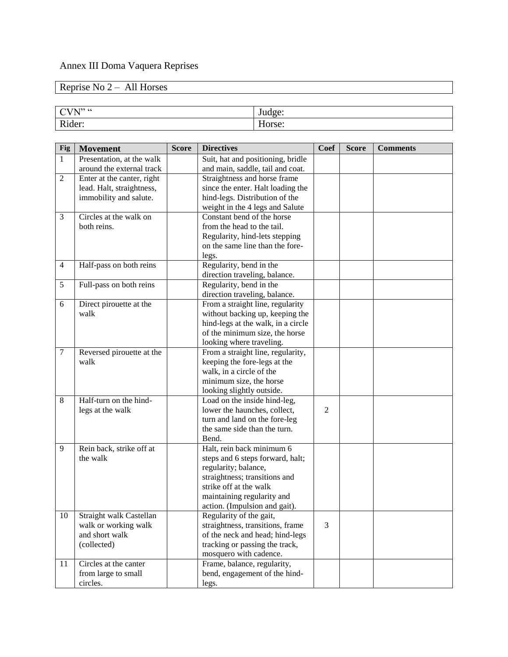# Annex III Doma Vaquera Reprises

# Reprise No 2 – All Horses

| . T <sub>22</sub> CC<br>$\overline{\phantom{a}}$ |                          |
|--------------------------------------------------|--------------------------|
| $\mathbf{r}$<br>$\sim$<br>-                      | $\overline{\phantom{a}}$ |

| Fig            | <b>Movement</b>            | <b>Score</b> | <b>Directives</b>                  | <b>Coef</b>    | <b>Score</b> | <b>Comments</b> |
|----------------|----------------------------|--------------|------------------------------------|----------------|--------------|-----------------|
| $\mathbf{1}$   | Presentation, at the walk  |              | Suit, hat and positioning, bridle  |                |              |                 |
|                | around the external track  |              | and main, saddle, tail and coat.   |                |              |                 |
| $\overline{2}$ | Enter at the canter, right |              | Straightness and horse frame       |                |              |                 |
|                | lead. Halt, straightness,  |              | since the enter. Halt loading the  |                |              |                 |
|                | immobility and salute.     |              | hind-legs. Distribution of the     |                |              |                 |
|                |                            |              | weight in the 4 legs and Salute    |                |              |                 |
| $\mathfrak{Z}$ | Circles at the walk on     |              | Constant bend of the horse         |                |              |                 |
|                | both reins.                |              | from the head to the tail.         |                |              |                 |
|                |                            |              | Regularity, hind-lets stepping     |                |              |                 |
|                |                            |              | on the same line than the fore-    |                |              |                 |
|                |                            |              | legs.                              |                |              |                 |
| $\overline{4}$ | Half-pass on both reins    |              | Regularity, bend in the            |                |              |                 |
|                |                            |              | direction traveling, balance.      |                |              |                 |
| 5              | Full-pass on both reins    |              | Regularity, bend in the            |                |              |                 |
|                |                            |              | direction traveling, balance.      |                |              |                 |
| 6              | Direct pirouette at the    |              | From a straight line, regularity   |                |              |                 |
|                | walk                       |              | without backing up, keeping the    |                |              |                 |
|                |                            |              | hind-legs at the walk, in a circle |                |              |                 |
|                |                            |              | of the minimum size, the horse     |                |              |                 |
|                |                            |              | looking where traveling.           |                |              |                 |
| $\tau$         | Reversed pirouette at the  |              | From a straight line, regularity,  |                |              |                 |
|                | walk                       |              | keeping the fore-legs at the       |                |              |                 |
|                |                            |              | walk, in a circle of the           |                |              |                 |
|                |                            |              | minimum size, the horse            |                |              |                 |
|                |                            |              | looking slightly outside.          |                |              |                 |
| 8              | Half-turn on the hind-     |              | Load on the inside hind-leg,       |                |              |                 |
|                | legs at the walk           |              | lower the haunches, collect,       | $\overline{2}$ |              |                 |
|                |                            |              | turn and land on the fore-leg      |                |              |                 |
|                |                            |              | the same side than the turn.       |                |              |                 |
|                |                            |              | Bend.                              |                |              |                 |
| 9              | Rein back, strike off at   |              | Halt, rein back minimum 6          |                |              |                 |
|                | the walk                   |              | steps and 6 steps forward, halt;   |                |              |                 |
|                |                            |              | regularity; balance,               |                |              |                 |
|                |                            |              | straightness; transitions and      |                |              |                 |
|                |                            |              | strike off at the walk             |                |              |                 |
|                |                            |              | maintaining regularity and         |                |              |                 |
|                |                            |              | action. (Impulsion and gait).      |                |              |                 |
| $10\,$         | Straight walk Castellan    |              | Regularity of the gait,            |                |              |                 |
|                | walk or working walk       |              | straightness, transitions, frame   | 3              |              |                 |
|                | and short walk             |              | of the neck and head; hind-legs    |                |              |                 |
|                | (collected)                |              | tracking or passing the track,     |                |              |                 |
|                |                            |              | mosquero with cadence.             |                |              |                 |
| 11             | Circles at the canter      |              | Frame, balance, regularity,        |                |              |                 |
|                | from large to small        |              | bend, engagement of the hind-      |                |              |                 |
|                | circles.                   |              | legs.                              |                |              |                 |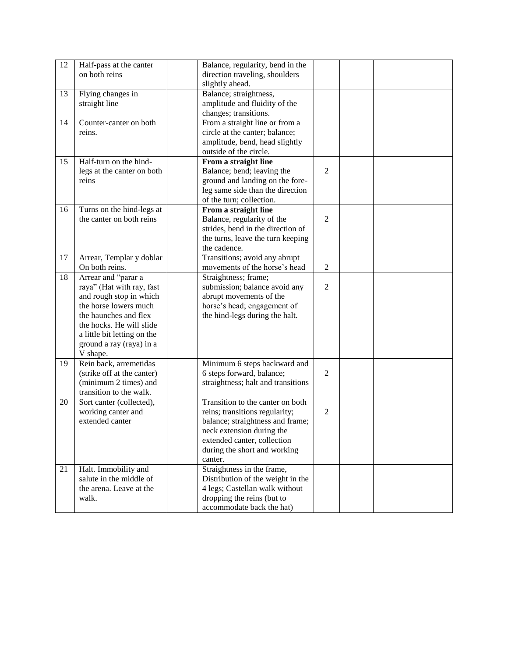| 12 | Half-pass at the canter     | Balance, regularity, bend in the   |                |  |
|----|-----------------------------|------------------------------------|----------------|--|
|    | on both reins               | direction traveling, shoulders     |                |  |
|    |                             | slightly ahead.                    |                |  |
| 13 | Flying changes in           | Balance; straightness,             |                |  |
|    | straight line               | amplitude and fluidity of the      |                |  |
|    |                             | changes; transitions.              |                |  |
| 14 | Counter-canter on both      | From a straight line or from a     |                |  |
|    | reins.                      | circle at the canter; balance;     |                |  |
|    |                             | amplitude, bend, head slightly     |                |  |
|    |                             | outside of the circle.             |                |  |
| 15 | Half-turn on the hind-      | From a straight line               |                |  |
|    | legs at the canter on both  | Balance; bend; leaving the         | $\overline{2}$ |  |
|    | reins                       | ground and landing on the fore-    |                |  |
|    |                             | leg same side than the direction   |                |  |
|    |                             | of the turn; collection.           |                |  |
| 16 | Turns on the hind-legs at   | From a straight line               |                |  |
|    | the canter on both reins    | Balance, regularity of the         | 2              |  |
|    |                             | strides, bend in the direction of  |                |  |
|    |                             | the turns, leave the turn keeping  |                |  |
|    |                             | the cadence.                       |                |  |
| 17 | Arrear, Templar y doblar    | Transitions; avoid any abrupt      |                |  |
|    | On both reins.              | movements of the horse's head      | $\overline{2}$ |  |
| 18 | Arrear and "parar a         | Straightness; frame;               |                |  |
|    | raya" (Hat with ray, fast   | submission; balance avoid any      | $\mathbf{2}$   |  |
|    | and rough stop in which     | abrupt movements of the            |                |  |
|    | the horse lowers much       | horse's head; engagement of        |                |  |
|    | the haunches and flex       | the hind-legs during the halt.     |                |  |
|    | the hocks. He will slide    |                                    |                |  |
|    | a little bit letting on the |                                    |                |  |
|    | ground a ray (raya) in a    |                                    |                |  |
|    | V shape.                    |                                    |                |  |
| 19 | Rein back, arremetidas      | Minimum 6 steps backward and       |                |  |
|    | (strike off at the canter)  | 6 steps forward, balance;          | $\overline{2}$ |  |
|    | (minimum 2 times) and       | straightness; halt and transitions |                |  |
|    | transition to the walk.     |                                    |                |  |
| 20 | Sort canter (collected),    | Transition to the canter on both   |                |  |
|    | working canter and          | reins; transitions regularity;     | $\overline{2}$ |  |
|    | extended canter             | balance; straightness and frame;   |                |  |
|    |                             | neck extension during the          |                |  |
|    |                             | extended canter, collection        |                |  |
|    |                             | during the short and working       |                |  |
|    |                             | canter.                            |                |  |
| 21 | Halt. Immobility and        | Straightness in the frame,         |                |  |
|    | salute in the middle of     | Distribution of the weight in the  |                |  |
|    | the arena. Leave at the     | 4 legs; Castellan walk without     |                |  |
|    | walk.                       | dropping the reins (but to         |                |  |
|    |                             | accommodate back the hat)          |                |  |